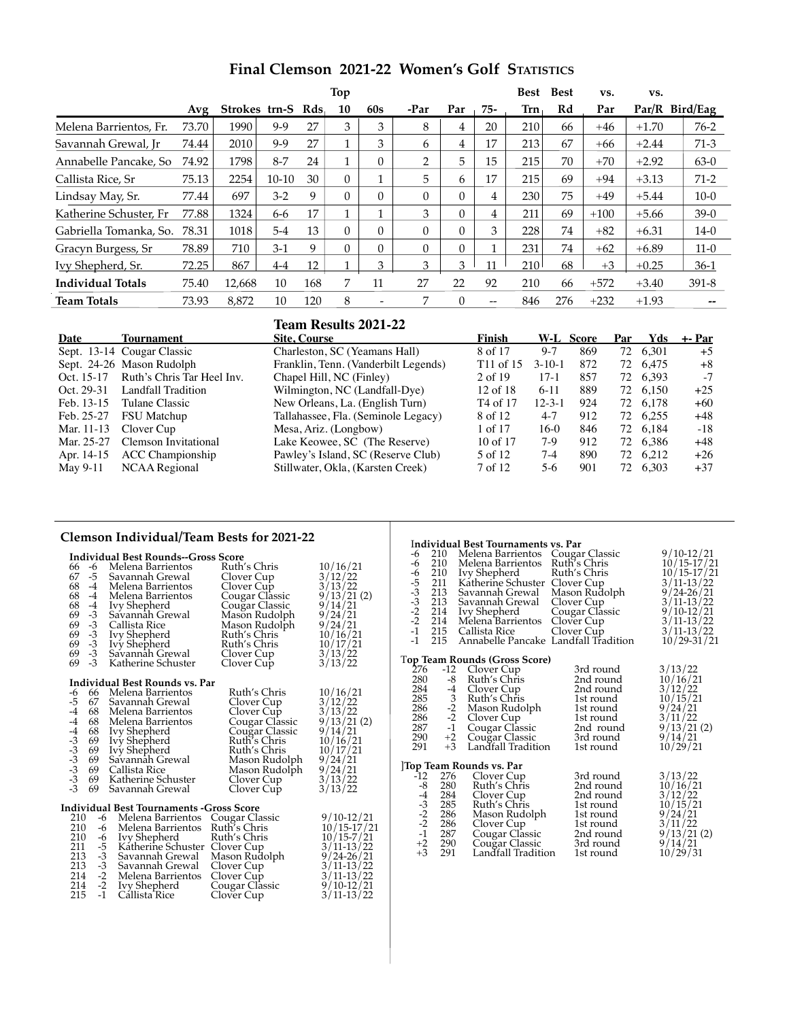| Final Clemson 2021-22 Women's Golf STATISTICS |  |  |
|-----------------------------------------------|--|--|
|-----------------------------------------------|--|--|

|                          |       |                   |           |     | Top      |                          |          |          |       | <b>Best</b> | <b>Best</b> | VS.    | VS.     |                |
|--------------------------|-------|-------------------|-----------|-----|----------|--------------------------|----------|----------|-------|-------------|-------------|--------|---------|----------------|
|                          | Avg   | Strokes trn-S Rds |           |     | 10       | 60s                      | -Par     | Par      | 75-   | Trn         | Rd          | Par    |         | Par/R Bird/Eag |
| Melena Barrientos, Fr.   | 73.70 | 1990              | $9 - 9$   | 27  | 3        | 3                        | 8        | 4        | 20    | 210         | 66          | $+46$  | $+1.70$ | $76-2$         |
| Savannah Grewal, Ir      | 74.44 | 2010              | 9-9       | 27  |          | 3                        | 6        | 4        | 17    | 213         | 67          | $+66$  | $+2.44$ | $71-3$         |
| Annabelle Pancake, So    | 74.92 | 1798              | $8 - 7$   | 24  |          | $\overline{0}$           | 2        | 5        | 15    | 215         | 70          | $+70$  | $+2.92$ | $63-0$         |
| Callista Rice, Sr        | 75.13 | 2254              | $10 - 10$ | 30  | $\Omega$ | Ŧ.                       | 5        | 6        | 17    | 215         | 69          | $+94$  | $+3.13$ | $71-2$         |
| Lindsay May, Sr.         | 77.44 | 697               | $3-2$     | 9   | $\theta$ | $\Omega$                 | $\Omega$ | $\Omega$ | 4     | 230         | 75          | $+49$  | $+5.44$ | $10-0$         |
| Katherine Schuster. Fr   | 77.88 | 1324              | 6-6       | 17  |          | 1                        | 3        | $\Omega$ | 4     | 211         | 69          | $+100$ | $+5.66$ | $39-0$         |
| Gabriella Tomanka, So.   | 78.31 | 1018              | $5 - 4$   | 13  | $\Omega$ | $\Omega$                 | $\Omega$ | $\Omega$ | 3     | 228         | 74          | $+82$  | $+6.31$ | $14-0$         |
| Gracyn Burgess, Sr       | 78.89 | 710               | $3-1$     | 9   | $\theta$ | $\Omega$                 | $\Omega$ | $\Omega$ |       | 231         | 74          | $+62$  | $+6.89$ | $11-0$         |
| Ivy Shepherd, Sr.        | 72.25 | 867               | $4-4$     | 12  |          | 3                        | 3        | 3        | 11    | 210         | 68          | $+3$   | $+0.25$ | $36-1$         |
| <b>Individual Totals</b> | 75.40 | 12,668            | 10        | 168 | 7        | 11                       | 27       | 22       | 92    | 210         | 66          | $+572$ | $+3.40$ | $391 - 8$      |
| <b>Team Totals</b>       | 73.93 | 8.872             | 10        | 120 | 8        | $\overline{\phantom{a}}$ | 7        | $\Omega$ | $- -$ | 846         | 276         | $+232$ | $+1.93$ |                |

## **Team Results 2021-22 Date Tournament Site, Course Finish W-L Score Par Yds +- Par** Sept. 13-14 Cougar Classic Charleston, SC (Yeamans Hall) 8 of 17 9-7 869 72 6,301 +5<br>Sept. 24-26 Mason Rudolph Franklin, Tenn. (Vanderbilt Legends) T11 of 15 3-10-1 872 72 6.475 +8 Sept. 24-26 Mason Rudolph Franklin, Tenn. (Vanderbilt Legends) T11 of 15 3-10-1 872 72 6,475 +8<br>Oct. 15-17 Ruth's Chris Tar Heel Inv. Chapel Hill, NC (Finley) 2 of 19 17-1 857 72 6,393 -7 Oct. 15-17 Ruth's Chris Tar Heel Inv. Chapel Hill, NC (Finley) 2 of 19 17-1 857 72<br>Oct. 29-31 Landfall Tradition Wilmington, NC (Landfall-Dye) 12 of 18 6-11 889 72 Oct. 29-31 Landfall Tradition Wilmington, NC (Landfall-Dye) 12 of 18 6-11 889 72 6,150 +25<br>
Feb. 13-15 Tulane Classic New Orleans, La. (English Turn) T4 of 17 12-3-1 924 72 6,178 +60 Feb. 13-15 Tulane Classic New Orleans, La. (English Turn) T4 of 17 12-3-1 924 72 6,178 +60<br>Feb. 25-27 FSU Matchup Tallahassee, Fla. (Seminole Legacy) 8 of 12 4-7 912 72 6,255 +48 Feb. 25-27 FSU Matchup Tallahassee, Fla. (Seminole Legacy) 8 of 12 4-7 912 72<br>
Mar. 11-13 Clover Cup Mesa, Ariz. (Longbow) 1 of 17 16-0 846 72 Mar. 11-13 Clover Cup Mesa, Ariz. (Longbow) 1 of 17 16-0 846 72 6,184 -18<br>Mar. 25-27 Clemson Invitational Lake Keowee, SC (The Reserve) 10 of 17 7-9 912 72 6,386 +48 Lake Keowee, SC (The Reserve) 10 of 17 7-9<br>Pawley's Island, SC (Reserve Club) 5 of 12 7-4 Apr. 14-15 ACC Championship Pawley's Island, SC (Reserve Club) 5 of 12 7-4 890 72 6,212 +26<br>May 9-11 NCAA Regional Stillwater, Okla, (Karsten Creek) 7 of 12 5-6 901 72 6,303 +37 NCAA Regional Stillwater, Okla, (Karsten Creek) 7 of 12 5-6 901 72 6,303 +37

## **Clemson Individual/Team Bests for 2021-22**

### **Individual Best Rounds--Gross Score**

| 66<br>67<br>68<br>68<br>68<br>69                             | -6<br>-5<br>-4<br>$-4$<br>-4<br>$-3$ | Melena Barrientos<br>Savannah Grewal<br>Melena Barrientos<br>Melena Barrientos<br>Ivy Shepherd<br>Savannah Grewal | Ruth's Chris<br>Clover Cup<br>Clover Cup<br>Cougar Classic<br>Cougar Classic<br>Mason Rudolph | 10/16/21<br>3/12/22<br>3/13/22<br>9/13/21(2)<br>9/14/21<br>9/24/21 |
|--------------------------------------------------------------|--------------------------------------|-------------------------------------------------------------------------------------------------------------------|-----------------------------------------------------------------------------------------------|--------------------------------------------------------------------|
| 69                                                           | $-3$                                 | Callista Rice                                                                                                     | Mason Rudolph                                                                                 | 9/24/21                                                            |
| 69                                                           | $-\frac{3}{5}$                       | Ivy Shepherd                                                                                                      | Ruth's Chris                                                                                  | 10/16/21                                                           |
| 69                                                           | $-3$                                 | Ivy Shepherd                                                                                                      | Ruth's Chris                                                                                  | 10/17/21                                                           |
| 69                                                           | $-3$<br>$-3$                         | Savannah Grewal                                                                                                   | Clover Cup                                                                                    | 3/13/22                                                            |
| 69                                                           |                                      | Katherine Schuster                                                                                                | Clover Cup                                                                                    | 3/13/22                                                            |
|                                                              |                                      | Individual Best Rounds vs. Par                                                                                    |                                                                                               |                                                                    |
| -6                                                           |                                      | 66 Melena Barrientos                                                                                              | Ruth's Chris                                                                                  | 10/16/21                                                           |
| $-5$                                                         |                                      | 67 Savannah Grewal                                                                                                | Clover Cup                                                                                    | 3/12/22                                                            |
| $-4$<br>$-4$<br>$-3$<br>$-3$<br>$-3$<br>$-3$<br>$-3$<br>$-3$ | 68                                   | Melena Barrientos                                                                                                 | Clover Cup                                                                                    | 3/13/22                                                            |
|                                                              | 68                                   | Melena Barrientos                                                                                                 | Cougar Classic                                                                                | 9/13/21(2)                                                         |
|                                                              | 68                                   | <b>Ivy Shepherd</b>                                                                                               | Cougar Classic                                                                                | 9/14/21                                                            |
|                                                              | 69                                   | Ivy Shepherd                                                                                                      | Ruth's Chris                                                                                  | 10/16/21                                                           |
|                                                              | 69                                   | Ivy Shepherd                                                                                                      | Ruth's Chris                                                                                  | 10/17/21                                                           |
|                                                              | 69<br>69                             | Savannah Grewal                                                                                                   | Mason Rudolph                                                                                 | 9/24/21                                                            |
|                                                              | 69                                   | Callista Rice<br>Katherine Schuster                                                                               | Mason Rudolph                                                                                 | 9/24/21<br>3/13/22                                                 |
|                                                              | 69                                   | Savannah Grewal                                                                                                   | Clover Cup<br>Clover Cup                                                                      | 3/13/22                                                            |
|                                                              |                                      |                                                                                                                   |                                                                                               |                                                                    |
|                                                              |                                      | Individual Best Tournaments -Gross Score                                                                          |                                                                                               |                                                                    |
| 210                                                          |                                      | -6 Melena Barrientos                                                                                              | Cougar Classic                                                                                | 9/10-12/21                                                         |
| 210                                                          | -6                                   | Melena Barrientos                                                                                                 | Ruth's Chris                                                                                  | $10/15 - 17/21$                                                    |
| 210                                                          | $-6$<br>$-5$                         | Ivy Shepherd                                                                                                      | Ruth's Chris                                                                                  | $10/15 - 7/21$                                                     |
| 211                                                          |                                      | Katherine Schuster                                                                                                | Clover Cup                                                                                    | $3/11 - 13/22$                                                     |
| 213                                                          | $\frac{-3}{-3}$<br>$\frac{-2}{-2}$   | Savannah Grewal                                                                                                   | Mason Rudolph                                                                                 | $9/24 - 26/21$                                                     |
| 213                                                          |                                      | Savannah Grewal                                                                                                   | Clover Cup                                                                                    | $3/11 - 13/22$                                                     |
| 214                                                          |                                      | Melena Barrientos                                                                                                 | Clover Cup                                                                                    | $3/11 - 13/22$                                                     |
| 214                                                          | $-2$<br>$-1$                         | Ivy Shepherd                                                                                                      | Cougar Classic                                                                                | $9/10 - 12/21$                                                     |
| 215                                                          |                                      | Cállista Rice                                                                                                     | Clover Cup                                                                                    | $3/11 - 13/22$                                                     |

## I**ndividual Best Tournaments vs. Par** 4 210 Melena Barrientos Cougar Classic 9/10-12/21<br>
4 210 Melena Barrientos Ruth's Chris 10/15-17/21<br>
5 211 Katherine Schuster Clover Cup 10/15-17/21<br>
5 211 Katherine Schuster Clover Cup 3/11-13/22<br>
3 213 Savannah Grewal Ma -6 210 Melena Barrientos Ruth's Chris<br>-6 210 Ivy Shepherd Ruth's Chris<br>-5 211 Katherine Schuster Clover Cup<br>-3 213 Savannah Grewal Mason Rudo<br>-2 214 Ivy Shepherd Cougar Class<br>-2 214 Melena Barrientos Clover Cup Ivy Shepherd Ruth's Chris<br>Katherine Schuster Clover Cup 211 - Katherine Schuster<br>213 - Savannah Grewal 213 Savannah Grewal Mason Rudolph 9/24-26/21<br>213 Savannah Grewal Clover Cup 3/11-13/22 213 Savannah Grewal Clover Cup 3/11-13/22<br>214 Ivy Shepherd Cougar Classic 9/10-12/21<br>214 Melena Barrientos Clover Cup 3/11-13/22 214 Ivy Shepherd Cougar Classic<br>214 Melena Barrientos Clover Cup -2 214 Melena Barrientos Clover Cup 3/11-13/22 -1 215 Callista Rice Clover Cup 3/11-13/22 -1 215 Annabelle Pancake Landfall Tradition 10/29-31/21 **Top Team Rounds (Gross Score)**<br>
276 -12 Clover Cup 3rd round 3/13/22<br>
280 -8 Ruth's Chris 2nd round 10/16/21 284 -4 Clover Cup 2nd round 285 3 Ruth's Chris 1st round 286 -2 Clover Cup 1st round 286 -2 Clover Cup 3. 280 -8 Ruth's Chris 2nd round 10/16/21<br>
284 -4 Clover Cup 2nd round 3/12/22<br>
285 -2 Mason Rudolph 1st round 9/24/21<br>
286 -2 Clover Cup 1st round 9/24/21<br>
286 -2 Clover Cup 1st round 9/11/22 286 -2 Mason Rudolph 1st round<br>286 -2 Clover Cup 1st round 286 -2 Clover Cup<br>
287 -1 Cougar Classic 2nd round 9/13/21 (2)<br>
290 +2 Cougar Classic 3rd round 9/14/21 287 -1 Cougar Classic 2nd round<br>290 +2 Cougar Classic 3rd round  $290 +2$  Cougar Classic 3rd round  $9/14/21$ <br> $291 +3$  Landfall Tradition 1st round  $10/29/21$ Landfall Tradition **Top Team Rounds vs. Par**<br>
-12 276 Clover Cup 3rd round 3/13/22<br>
-8 280 Ruth's Chris 2nd round 10/16/21<br>
-4 284 Clover Cup 2nd round 3/12/22 -8 280 Ruth's Chris 2nd round<br>-4 284 Clover Cup 2nd round<br>-3 285 Ruth's Chris 1st round<br>-2 286 Clover Cup 1st round<br>-1 287 Couear Classic 2nd round 284 Clover Cup 2nd round  $\frac{3}{12/22}$ <br>285 Ruth's Chris 1st round 10/15/21 285 Ruth's Chris 1st round  $\frac{10}{15/21}$ <br>
286 Mason Rudolph 1st round  $\frac{9}{24/21}$ <br>
287 Cougar Classic 2nd round  $\frac{3}{11/22}$ <br>
290 Cougar Classic 3rd round  $\frac{9}{14/21}$ Mason Rudolph 1st round<br>Clover Cup 1st round -2 286 Clover Cup 1st round 3/11/22 -1 287 Cougar Classic 2nd round 9/13/21 (2)

 $+2$  290 Cougar Classic 3rd round  $9/14/21$ <br> $+3$  291 Landfall Tradition 1st round  $10/29/31$ 

Landfall Tradition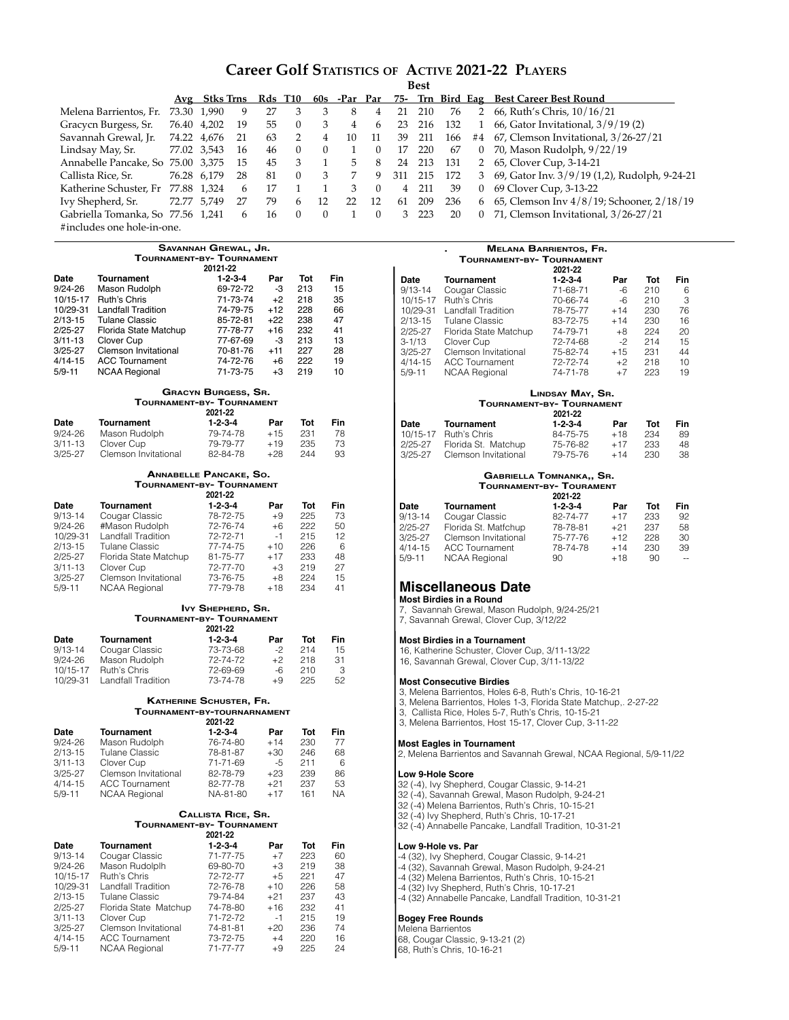# **Career Golf Statistics of Active 2021-22 Players**

|                                    |             | Avg Stks Trns |    | Rds T10 |          | 60s      | -Par Par |    | 75-            |     |     |                | Trn Bird Eag Best Career Best Round             |
|------------------------------------|-------------|---------------|----|---------|----------|----------|----------|----|----------------|-----|-----|----------------|-------------------------------------------------|
| Melena Barrientos, Fr.             | 73.30 1.990 |               | 9  | 27      | 3        |          | 8        | 4  | 21             | 210 | 76  | $\overline{2}$ | 66, Ruth's Chris, 10/16/21                      |
| Gracycn Burgess, Sr.               |             | 76.40 4,202   | 19 | 55      | $\Omega$ |          | 4        | 6  | 23             | 216 | 132 |                | 66, Gator Invitational, 3/9/19(2)               |
| Savannah Grewal, Jr.               | 74.22 4,676 |               | 21 | 63      |          | 4        | 10       |    | 39             | 211 | 166 |                | #4 67, Clemson Invitational, 3/26-27/21         |
| Lindsay May, Sr.                   | 77.02 3,543 |               | 16 | 46      |          | $\Omega$ |          |    | 17             | 220 | 67  | $\overline{0}$ | 70, Mason Rudolph, 9/22/19                      |
| Annabelle Pancake, So 75.00 3,375  |             |               | 15 | 45      | 3        |          | 5        | 8  | 24             | 213 | 131 |                | 2 65, Clover Cup, 3-14-21                       |
| Callista Rice, Sr.                 |             | 76.28 6.179   | 28 | 81      | $\Omega$ |          |          | 9  | 311            | 215 | 172 |                | 3 69, Gator Inv. 3/9/19 (1,2), Rudolph, 9-24-21 |
| Katherine Schuster, Fr 77.88 1,324 |             |               | 6  |         |          |          |          |    | $\overline{4}$ | 211 | 39  | $\Omega$       | 69 Clover Cup, 3-13-22                          |
| Ivy Shepherd, Sr.                  |             | 72.77 5,749   | 27 | 79      | 6        | 12       | 22       | 12 | 61             | 209 | 236 | 6              | 65, Clemson Inv 4/8/19; Schooner, 2/18/19       |
| Gabriella Tomanka, So 77.56 1,241  |             |               | 6  | 16      |          | $\Omega$ |          |    | 3              | 223 | 20  | $\Omega$       | 71, Clemson Invitational, 3/26-27/21            |
| #includes one hole-in-one.         |             |               |    |         |          |          |          |    |                |     |     |                |                                                 |

|                            |                                                | SAVANNAH GREWAL, JR.          |                |            |          |  |
|----------------------------|------------------------------------------------|-------------------------------|----------------|------------|----------|--|
|                            | TOURNAMENT-BY- TOURNAMENT                      |                               |                |            |          |  |
|                            |                                                | 20121-22                      |                |            |          |  |
| Date                       | <b>Tournament</b>                              | $1 - 2 - 3 - 4$               | Par            | Tot        | Fin      |  |
| 9/24-26                    | Mason Rudolph                                  | 69-72-72                      | -3             | 213        | 15       |  |
| 10/15-17<br>10/29-31       | Ruth's Chris<br><b>Landfall Tradition</b>      | 71-73-74                      | $+2$           | 218<br>228 | 35       |  |
| 2/13-15                    | <b>Tulane Classic</b>                          | 74-79-75<br>85-72-81          | $+12$<br>$+22$ | 238        | 66<br>47 |  |
| 2/25-27                    | Florida State Matchup                          | 77-78-77                      | $+16$          | 232        | 41       |  |
| $3/11 - 13$                | Clover Cup                                     | 77-67-69                      | -3             | 213        | 13       |  |
| 3/25-27                    | <b>Clemson Invitational</b>                    | 70-81-76                      | $+11$          | 227        | 28       |  |
| 4/14-15                    | <b>ACC Tournament</b>                          | 74-72-76                      | $+6$           | 222        | 19       |  |
| $5/9 - 11$                 | <b>NCAA Regional</b>                           | 71-73-75                      | $+3$           | 219        | 10       |  |
|                            |                                                | <b>GRACYN BURGESS, SR.</b>    |                |            |          |  |
|                            | TOURNAMENT-BY- TOURNAMENT                      | 2021-22                       |                |            |          |  |
| Date                       | <b>Tournament</b>                              | $1 - 2 - 3 - 4$               | Par            | Tot        | Fin      |  |
| 9/24-26                    | Mason Rudolph                                  | 79-74-78                      | $+15$          | 231        | 78       |  |
| $3/11 - 13$                | Clover Cup                                     | 79-79-77                      | $+19$          | 235        | 73       |  |
| $3/25 - 27$                | Clemson Invitational                           | 82-84-78                      | $+28$          | 244        | 93       |  |
|                            |                                                | <b>ANNABELLE PANCAKE, SO.</b> |                |            |          |  |
|                            | TOURNAMENT-BY- TOURNAMENT                      |                               |                |            |          |  |
|                            |                                                | 2021-22                       |                |            |          |  |
| <b>Date</b>                | Tournament                                     | $1 - 2 - 3 - 4$               | Par            | Tot        | Fin      |  |
| 9/13-14                    | Cougar Classic                                 | 78-72-75                      | $+9$           | 225        | 73       |  |
| 9/24-26<br>10/29-31        | #Mason Rudolph                                 | 72-76-74                      | $+6$           | 222        | 50       |  |
|                            | Landfall Tradition                             | 72-72-71                      | $-1$<br>$+10$  | 215        | 12       |  |
| $2/13 - 15$<br>$2/25 - 27$ | <b>Tulane Classic</b><br>Florida State Matchup | 77-74-75<br>81-75-77          | $+17$          | 226<br>233 | 6<br>48  |  |
| $3/11 - 13$                | Clover Cup                                     | 72-77-70                      | $+3$           | 219        | 27       |  |
| $3/25 - 27$                | Clemson Invitational                           | 73-76-75                      | $+8$           | 224        | 15       |  |
| $5/9 - 11$                 | <b>NCAA Regional</b>                           | 77-79-78                      | $+18$          | 234        | 41       |  |
|                            | TOURNAMENT-BY- TOURNAMENT                      | IVY SHEPHERD, SR.<br>2021-22  |                |            |          |  |
|                            |                                                |                               | Par            | Tot        | Fin      |  |
| Date                       | <b>Tournament</b>                              | $1 - 2 - 3 - 4$               |                |            |          |  |
| $9/13 - 14$                | Cougar Classic                                 | 73-73-68                      | $-2$           | 214        | 15       |  |
| 9/24-26                    | Mason Rudolph                                  | 72-74-72                      | $+2$           | 218        | 31       |  |
| 10/15-17                   | Ruth's Chris                                   | 72-69-69                      | -6             | 210        | 3        |  |
| 10/29-31                   | Landfall Tradition                             | 73-74-78                      | $+9$           | 225        | 52       |  |
|                            |                                                | KATHERINE SCHUSTER, FR.       |                |            |          |  |
|                            | TOURNAMENT-BY-TOURNARNAMENT                    | 2021-22                       |                |            |          |  |
| Date                       | <b>Tournament</b>                              | $1 - 2 - 3 - 4$               | Par            | Tot        | Fin      |  |
| 9/24-26                    | Mason Rudolph                                  | 76-74-80                      | $+14$          | 230        | 77       |  |
| $2/13 - 15$                | <b>Tulane Classic</b>                          | 78-81-87                      | $+30$          | 246        | 68       |  |
| $3/11 - 13$                | Clover Cup                                     | 71-71-69                      | -5             | 211        | 6        |  |
| $3/25 - 27$                | Clemson Invitational                           | 82-78-79                      | $+23$          | 239        | 86       |  |
| $4/14 - 15$                | <b>ACC Tournament</b>                          | 82-77-78                      | $+21$          | 237        | 53       |  |
| $5/9 - 11$                 | <b>NCAA Regional</b>                           | NA-81-80                      | $+17$          | 161        | NA.      |  |
|                            |                                                | CALLISTA RICE, SR.            |                |            |          |  |
|                            | Tournament-by- Tournament                      | 2021-22                       |                |            |          |  |
| Date                       | <b>Tournament</b>                              | $1 - 2 - 3 - 4$               | Par            | Tot        | Fin      |  |
| $9/13 - 14$                | Cougar Classic                                 | 71-77-75                      | $+7$           | 223        | 60       |  |
| 9/24-26                    | Mason Rudolplh                                 | 69-80-70                      | $+3$           | 219        | 38       |  |
| 10/15-17                   | Ruth's Chris                                   | 72-72-77                      | $+5$           | 221        | 47       |  |
| 10/29-31                   | Landfall Tradition                             | 72-76-78                      | $+10$          | 226        | 58       |  |
| $2/13 - 15$                | <b>Tulane Classic</b>                          | 79-74-84                      | $+21$          | 237        | 43       |  |
| $2/25 - 27$                | Florida State Matchup                          | 74-78-80                      | $+16$          | 232        | 41       |  |
| $3/11 - 13$                | Clover Cup                                     | 71-72-72                      | $-1$           | 215        | 19       |  |
| $3/25 - 27$<br>4/14-15     | Clemson Invitational<br><b>ACC Tournament</b>  | 74-81-81<br>73-72-75          | $+20$<br>$+4$  | 236<br>220 | 74<br>16 |  |

NCAA Regional

## **. Melana Barrientos, Fr. Tournament-by- Tournament**

|            |                       | 2021-22         |       |     |     |
|------------|-----------------------|-----------------|-------|-----|-----|
| Date       | Tournament            | $1 - 2 - 3 - 4$ | Par   | Tot | Fin |
| 9/13-14    | Cougar Classic        | 71-68-71        | -6    | 210 | 6   |
| 10/15-17   | Ruth's Chris          | 70-66-74        | -6    | 210 | 3   |
| 10/29-31   | Landfall Tradition    | 78-75-77        | $+14$ | 230 | 76  |
| 2/13-15    | <b>Tulane Classic</b> | 83-72-75        | $+14$ | 230 | 16  |
| 2/25-27    | Florida State Matchup | 74-79-71        | $+8$  | 224 | 20  |
| 3-1/13     | Clover Cup            | 72-74-68        | -2    | 214 | 15  |
| 3/25-27    | Clemson Invitational  | 75-82-74        | $+15$ | 231 | 44  |
| 4/14-15    | <b>ACC Tournament</b> | 72-72-74        | $+2$  | 218 | 10  |
| $5/9 - 11$ | <b>NCAA Regional</b>  | 74-71-78        | $+7$  | 223 | 19  |
|            |                       |                 |       |     |     |

#### **Lindsay May, Sr. Tournament-by- Tournament 2021-22 Date Tournament 1-2-3-4 Par Tot Fin** 10/15-17 Ruth's Chris 84-75-75 +18 234 89 10/15-17 Ruth's Chris 84-75-75 +18 234 89 2/25-27 Florida St. Matchup 75-76-82 +17 233 48 Clemson Invitational

#### **Gabriella Tomnanka,, Sr. Tournament-by- Tourament**

|         |                       | 2021-22         |       |     |            |
|---------|-----------------------|-----------------|-------|-----|------------|
| Date    | <b>Tournament</b>     | $1 - 2 - 3 - 4$ | Par   | Tot | <b>Fin</b> |
| 9/13-14 | Cougar Classic        | 82-74-77        | $+17$ | 233 | 92         |
| 2/25-27 | Florida St. Matfchup  | 78-78-81        | $+21$ | 237 | 58         |
| 3/25-27 | Clemson Invitational  | 75-77-76        | $+12$ | 228 | 30         |
| 4/14-15 | <b>ACC Tournament</b> | 78-74-78        | $+14$ | 230 | 39         |
| 5/9-11  | <b>NCAA Regional</b>  | 90              | $+18$ | 90  | $-$        |
|         |                       |                 |       |     |            |

### **Miscellaneous Date Most Birdies in a Round**

7, Savannah Grewal, Mason Rudolph, 9/24-25/21

7, Savannah Grewal, Clover Cup, 3/12/22

### **Most Birdies in a Tournament**

16, Katherine Schuster, Clover Cup, 3/11-13/22

16, Savannah Grewal, Clover Cup, 3/11-13/22

## **Most Consecutive Birdies**

- 3, Melena Barrientos, Holes 6-8, Ruth's Chris, 10-16-21
- 3, Melena Barrientos, Holes 1-3, Florida State Matchup,. 2-27-22
- 3, Callista Rice, Holes 5-7, Ruth's Chris, 10-15-21
- 3, Melena Barrientos, Host 15-17, Clover Cup, 3-11-22

#### **Most Eagles in Tournament**

2, Melena Barrientos and Savannah Grewal, NCAA Regional, 5/9-11/22

#### **Low 9-Hole Score**

- 32 (-4), Ivy Shepherd, Cougar Classic, 9-14-21
- 32 (-4), Savannah Grewal, Mason Rudolph, 9-24-21
- 32 (-4) Melena Barrientos, Ruth's Chris, 10-15-21
- 32 (-4) Ivy Shepherd, Ruth's Chris, 10-17-21
- 32 (-4) Annabelle Pancake, Landfall Tradition, 10-31-21

#### **Low 9-Hole vs. Par**

- -4 (32), Ivy Shepherd, Cougar Classic, 9-14-21
- -4 (32), Savannah Grewal, Mason Rudolph, 9-24-21
- -4 (32) Melena Barrientos, Ruth's Chris, 10-15-21
- -4 (32) Ivy Shepherd, Ruth's Chris, 10-17-21
- -4 (32) Annabelle Pancake, Landfall Tradition, 10-31-21

# **Bogey Free Rounds**

- Melena Barrientos
- 68, Cougar Classic, 9-13-21 (2)
- 68, Ruth's Chris, 10-16-21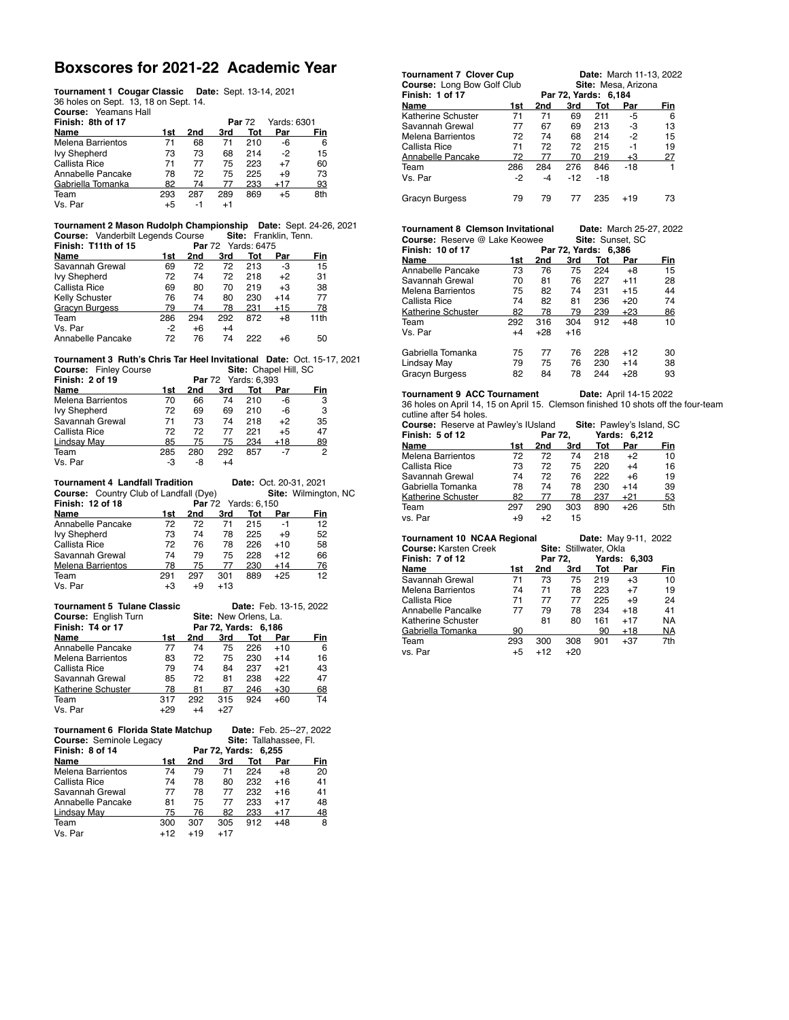# **Boxscores for 2021-22 Academic Year**

**Tournament 1 Cougar Classic Date:** Sept. 13-14, 2021 36 holes on Sept. 13, 18 on Sept. 14. **Course:** Yeamans Hall 

| .                        |     |     |         |               |             |     |
|--------------------------|-----|-----|---------|---------------|-------------|-----|
| Finish: 8th of 17        |     |     |         | <b>Par 72</b> | Yards: 6301 |     |
| Name                     | 1st | 2nd | 3rd     | Tot           | Par         | Fin |
| <b>Melena Barrientos</b> | 71  | 68  | 71      | 210           | -6          | 6   |
| <b>Ivy Shepherd</b>      | 73  | 73  | 68      | 214           | -2          | 15  |
| Callista Rice            | 71  | 77  | 75      | 223           | $+7$        | 60  |
| Annabelle Pancake        | 78  | 72  | 75      | 225           | $+9$        | 73  |
| Gabriella Tomanka        | 82  | 74  | 77      | 233           | +17         | 93  |
| Team                     | 293 | 287 | 289     | 869           | +5          | 8th |
| Vs. Par                  | +5  | -1  | $^{+1}$ |               |             |     |
|                          |     |     |         |               |             |     |

**Tournament 2 Mason Rudolph Championship Date:** Sept. 24-26, 2021 **Course:** Vanderbilt Legends Course **Site:** Franklin, Tenn. 

| Finish: T11th of 15<br><b>Par</b> 72 Yards: 6475 |     |      |      |     |       |                  |  |  |  |
|--------------------------------------------------|-----|------|------|-----|-------|------------------|--|--|--|
| Name                                             | 1st | 2nd  | 3rd  | Tot | Par   | Fin              |  |  |  |
| Savannah Grewal                                  | 69  | 72   | 72   | 213 | -3    | 15               |  |  |  |
| <b>Ivy Shepherd</b>                              | 72  | 74   | 72   | 218 | $+2$  | 31               |  |  |  |
| Callista Rice                                    | 69  | 80   | 70   | 219 | $+3$  | 38               |  |  |  |
| Kelly Schuster                                   | 76  | 74   | 80   | 230 | $+14$ | 77               |  |  |  |
| <b>Gracyn Burgess</b>                            | 79  | 74   | 78   | 231 | $+15$ | 78               |  |  |  |
| Team                                             | 286 | 294  | 292  | 872 | +8    | 11 <sub>th</sub> |  |  |  |
| Vs. Par                                          | -2  | $+6$ | $+4$ |     |       |                  |  |  |  |
| Annabelle Pancake                                | 72  | 76   | 74   | 222 | +6    | 50               |  |  |  |
|                                                  |     |      |      |     |       |                  |  |  |  |

**Tournament 3 Ruth's Chris Tar Heel Invitational Date:** Oct. 15-17, 2021 **Course:** Finley Course **Course Site: Chapel Hill, SC** 

| Finish: 2 of 19          |     | <b>Par</b> 72 Yards: 6.393 |      |     |       |     |  |
|--------------------------|-----|----------------------------|------|-----|-------|-----|--|
| Name                     | 1st | 2nd                        | 3rd  | Tot | Par   | Fin |  |
| <b>Melena Barrientos</b> | 70  | 66                         | 74   | 210 | -6    | 3   |  |
| <b>Ivy Shepherd</b>      | 72  | 69                         | 69   | 210 | -6    | 3   |  |
| Savannah Grewal          | 71  | 73                         | 74   | 218 | $+2$  | 35  |  |
| Callista Rice            | 72  | 72                         | 77   | 221 | $+5$  | 47  |  |
| Lindsay May              | 85  | 75                         | 75   | 234 | $+18$ | 89  |  |
| Team                     | 285 | 280                        | 292  | 857 | -7    | 2   |  |
| Vs. Par                  | -3  | -8                         | $+4$ |     |       |     |  |
|                          |     |                            |      |     |       |     |  |

| <b>Tournament 4 Landfall Tradition</b>        |      | Date: Oct. 20-31, 2021     |       |     |       |                      |
|-----------------------------------------------|------|----------------------------|-------|-----|-------|----------------------|
| <b>Course:</b> Country Club of Landfall (Dye) |      |                            |       |     |       | Site: Wilmington, NC |
| Finish: 12 of 18                              |      | <b>Par</b> 72 Yards: 6,150 |       |     |       |                      |
| Name                                          | 1st. | 2nd                        | 3rd   | Tot | Par   | Fin                  |
| Annabelle Pancake                             | 72   | 72                         | 71    | 215 | -1    | 12                   |
| <b>Ivy Shepherd</b>                           | 73   | 74                         | 78    | 225 | $+9$  | 52                   |
| Callista Rice                                 | 72   | 76                         | 78    | 226 | $+10$ | 58                   |
| Savannah Grewal                               | 74   | 79                         | 75    | 228 | $+12$ | 66                   |
| <b>Melena Barrientos</b>                      | 78   | 75                         | 77    | 230 | $+14$ | 76                   |
| Team                                          | 291  | 297                        | 301   | 889 | $+25$ | 12                   |
| Vs. Par                                       | +3   | +9                         | $+13$ |     |       |                      |

| <b>Tournament 5 Tulane Classic</b><br><b>Course: English Turn</b><br>Finish: T4 or 17 | Date: Feb. 13-15, 2022<br>Site: New Orlens, La.<br>Par 72, Yards: 6,186 |     |       |     |       |     |  |
|---------------------------------------------------------------------------------------|-------------------------------------------------------------------------|-----|-------|-----|-------|-----|--|
| Name                                                                                  | 1st                                                                     | 2nd | 3rd   | Tot | Par   | Fin |  |
| Annabelle Pancake                                                                     | 77                                                                      | 74  | 75    | 226 | $+10$ | 6   |  |
| <b>Melena Barrientos</b>                                                              | 83                                                                      | 72  | 75    | 230 | $+14$ | 16  |  |
| Callista Rice                                                                         | 79                                                                      | 74  | 84    | 237 | $+21$ | 43  |  |
| Savannah Grewal                                                                       | 85                                                                      | 72  | 81    | 238 | $+22$ | 47  |  |
| Katherine Schuster                                                                    | 78                                                                      | 81  | 87    | 246 | +30   | 68  |  |
| Team                                                                                  | 317                                                                     | 292 | 315   | 924 | $+60$ | T4  |  |
| Vs. Par                                                                               | +29                                                                     | +4  | $+27$ |     |       |     |  |

| Tournament 6 Florida State Matchup |       |       |                        | Date: Feb. 25--27, 2022 |       |     |  |  |
|------------------------------------|-------|-------|------------------------|-------------------------|-------|-----|--|--|
| <b>Course: Seminole Legacy</b>     |       |       | Site: Tallahassee, Fl. |                         |       |     |  |  |
| Finish: 8 of 14                    |       |       |                        | Par 72, Yards: 6,255    |       |     |  |  |
| Name                               | 1st.  | 2nd   | 3rd                    | Tot                     | Par   | Fin |  |  |
| <b>Melena Barrientos</b>           | 74    | 79    | 71                     | 224                     | +8    | 20  |  |  |
| Callista Rice                      | 74    | 78    | 80                     | 232                     | $+16$ | 41  |  |  |
| Savannah Grewal                    | 77    | 78    | 77                     | 232                     | $+16$ | 41  |  |  |
| Annabelle Pancake                  | 81    | 75    | 77                     | 233                     | $+17$ | 48  |  |  |
| Lindsay May                        | 75    | 76    | 82                     | 233                     | $+17$ | 48  |  |  |
| Team                               | 300   | 307   | 305                    | 912                     | $+48$ | 8   |  |  |
| Vs. Par                            | $+12$ | $+19$ | $+17$                  |                         |       |     |  |  |

| <b>Tournament 7 Clover Cup</b><br>Course: Long Bow Golf Club | <b>Date:</b> March 11-13, 2022<br>Site: Mesa, Arizona |     |                      |       |       |     |  |  |
|--------------------------------------------------------------|-------------------------------------------------------|-----|----------------------|-------|-------|-----|--|--|
| Finish: 1 of 17                                              |                                                       |     | Par 72, Yards: 6,184 |       |       |     |  |  |
| Name                                                         | 1st                                                   | 2nd | 3rd                  | Tot   | Par   | Fin |  |  |
| Katherine Schuster                                           | 71                                                    | 71  | 69                   | 211   | -5    | 6   |  |  |
| Savannah Grewal                                              | 77                                                    | 67  | 69                   | 213   | -3    | 13  |  |  |
| <b>Melena Barrientos</b>                                     | 72                                                    | 74  | 68                   | 214   | $-2$  | 15  |  |  |
| Callista Rice                                                | 71                                                    | 72  | 72                   | 215   | -1    | 19  |  |  |
| Annabelle Pancake                                            | 72                                                    | 77  | 70                   | 219   | $+3$  | 27  |  |  |
| Team                                                         | 286                                                   | 284 | 276                  | 846   | $-18$ | 1   |  |  |
| Vs. Par                                                      | -2                                                    | -4  | $-12$                | $-18$ |       |     |  |  |
| <b>Gracyn Burgess</b>                                        | 79                                                    | 79  | 77                   | 235   | +19   | 73  |  |  |

| <b>Tournament 8 Clemson Invitational</b> | <b>Date:</b> March 25-27, 2022 |
|------------------------------------------|--------------------------------|
| <b>Course:</b> Reserve @ Lake Keowee     | <b>Site: Sunset, SC</b>        |
|                                          |                                |

| <b>Finish: 10 of 17</b><br>Par 72, Yards: 6,386 |      |       |       |     |       |     |  |
|-------------------------------------------------|------|-------|-------|-----|-------|-----|--|
| Name                                            | 1st  | 2nd   | 3rd   | Tot | Par   | Fin |  |
| Annabelle Pancake                               | 73   | 76    | 75    | 224 | +8    | 15  |  |
| Savannah Grewal                                 | 70   | 81    | 76    | 227 | $+11$ | 28  |  |
| Melena Barrientos                               | 75   | 82    | 74    | 231 | $+15$ | 44  |  |
| Callista Rice                                   | 74   | 82    | 81    | 236 | $+20$ | 74  |  |
| Katherine Schuster                              | 82   | 78    | 79    | 239 | +23   | 86  |  |
| Team                                            | 292  | 316   | 304   | 912 | +48   | 10  |  |
| Vs. Par                                         | $+4$ | $+28$ | $+16$ |     |       |     |  |
| Gabriella Tomanka                               | 75   | 77    | 76    | 228 | $+12$ | 30  |  |
| Lindsay May                                     | 79   | 75    | 76    | 230 | $+14$ | 38  |  |
| Gracyn Burgess                                  | 82   | 84    | 78    | 244 | $+28$ | 93  |  |

**Tournament 9 ACC Tournament Date:** April 14-15 2022 36 holes on April 14, 15 on April 15. Clemson finished 10 shots off the four-team cutline after 54 holes.

| <b>Course:</b> Reserve at Pawley's IUsland |     |         |     | <b>Site: Pawley's Island, SC</b> |              |     |
|--------------------------------------------|-----|---------|-----|----------------------------------|--------------|-----|
| Finish: 5 of 12                            |     | Par 72. |     |                                  | Yards: 6.212 |     |
| Name                                       | 1st | 2nd     | 3rd | Tot                              | Par          | Fin |
| Melena Barrientos                          | 72. | 72.     | 74  | 218                              | $+2$         | 10  |
| Callista Rice                              | 73. | 72      | 75  | 220                              | $+4$         | 16  |

| MEIGHT DAITIGHTOS  |     | $\epsilon$ | 14  | $\sim$ 10 | $\overline{ }$ | ιU  |
|--------------------|-----|------------|-----|-----------|----------------|-----|
| Callista Rice      | 73  | 72         | 75  | 220       | $^{+4}$        | 16  |
| Savannah Grewal    | 74  | 72         | 76  | 222       | +6             | 19  |
| Gabriella Tomanka  | 78  | 74         | 78  | 230       | +14            | 39  |
| Katherine Schuster | 82  | 77         | 78  | 237       | +21            | 53  |
| Team               | 297 | 290        | 303 | 890       | +26            | 5th |
| vs. Par            | +9  |            | 15  |           |                |     |
|                    |     |            |     |           |                |     |

| <b>Tournament 10 NCAA Regional</b> |      |         |                        | Date: May 9-11, 2022 |              |           |  |  |  |
|------------------------------------|------|---------|------------------------|----------------------|--------------|-----------|--|--|--|
| <b>Course: Karsten Creek</b>       |      |         | Site: Stillwater, Okla |                      |              |           |  |  |  |
| Finish: 7 of 12                    |      | Par 72. |                        |                      | Yards: 6.303 |           |  |  |  |
| Name                               | 1st  | 2nd     | 3rd                    | Tot                  | Par          | Fin       |  |  |  |
| Savannah Grewal                    | 71   | 73      | 75                     | 219                  | $+3$         | 10        |  |  |  |
| <b>Melena Barrientos</b>           | 74   | 71      | 78                     | 223                  | $+7$         | 19        |  |  |  |
| Callista Rice                      | 71   | 77      | 77                     | 225                  | $+9$         | 24        |  |  |  |
| Annabelle Pancalke                 | 77   | 79      | 78                     | 234                  | $+18$        | 41        |  |  |  |
| Katherine Schuster                 |      | 81      | 80                     | 161                  | $+17$        | <b>NA</b> |  |  |  |
| Gabriella Tomanka                  | 90   |         |                        | 90                   | $+18$        | <b>NA</b> |  |  |  |
| Team                               | 293  | 300     | 308                    | 901                  | $+37$        | 7th       |  |  |  |
| vs. Par                            | $+5$ | $+12$   | $+20$                  |                      |              |           |  |  |  |